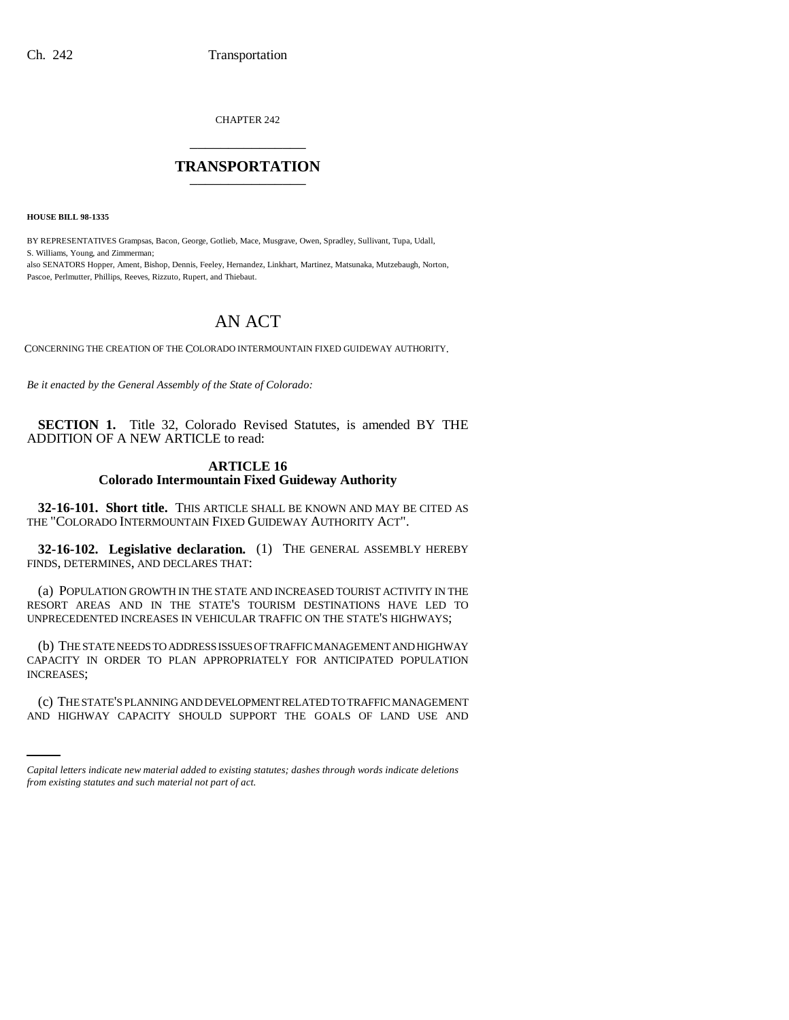CHAPTER 242 \_\_\_\_\_\_\_\_\_\_\_\_\_\_\_

## **TRANSPORTATION** \_\_\_\_\_\_\_\_\_\_\_\_\_\_\_

**HOUSE BILL 98-1335**

 

BY REPRESENTATIVES Grampsas, Bacon, George, Gotlieb, Mace, Musgrave, Owen, Spradley, Sullivant, Tupa, Udall, S. Williams, Young, and Zimmerman;

also SENATORS Hopper, Ament, Bishop, Dennis, Feeley, Hernandez, Linkhart, Martinez, Matsunaka, Mutzebaugh, Norton, Pascoe, Perlmutter, Phillips, Reeves, Rizzuto, Rupert, and Thiebaut.

# AN ACT

CONCERNING THE CREATION OF THE COLORADO INTERMOUNTAIN FIXED GUIDEWAY AUTHORITY.

*Be it enacted by the General Assembly of the State of Colorado:*

**SECTION 1.** Title 32, Colorado Revised Statutes, is amended BY THE ADDITION OF A NEW ARTICLE to read:

### **ARTICLE 16 Colorado Intermountain Fixed Guideway Authority**

**32-16-101. Short title.** THIS ARTICLE SHALL BE KNOWN AND MAY BE CITED AS THE "COLORADO INTERMOUNTAIN FIXED GUIDEWAY AUTHORITY ACT".

**32-16-102. Legislative declaration.** (1) THE GENERAL ASSEMBLY HEREBY FINDS, DETERMINES, AND DECLARES THAT:

(a) POPULATION GROWTH IN THE STATE AND INCREASED TOURIST ACTIVITY IN THE RESORT AREAS AND IN THE STATE'S TOURISM DESTINATIONS HAVE LED TO UNPRECEDENTED INCREASES IN VEHICULAR TRAFFIC ON THE STATE'S HIGHWAYS;

(b) THE STATE NEEDS TO ADDRESS ISSUES OF TRAFFIC MANAGEMENT AND HIGHWAY CAPACITY IN ORDER TO PLAN APPROPRIATELY FOR ANTICIPATED POPULATION INCREASES;

(c) THE STATE'S PLANNING AND DEVELOPMENT RELATED TO TRAFFIC MANAGEMENT AND HIGHWAY CAPACITY SHOULD SUPPORT THE GOALS OF LAND USE AND

*Capital letters indicate new material added to existing statutes; dashes through words indicate deletions from existing statutes and such material not part of act.*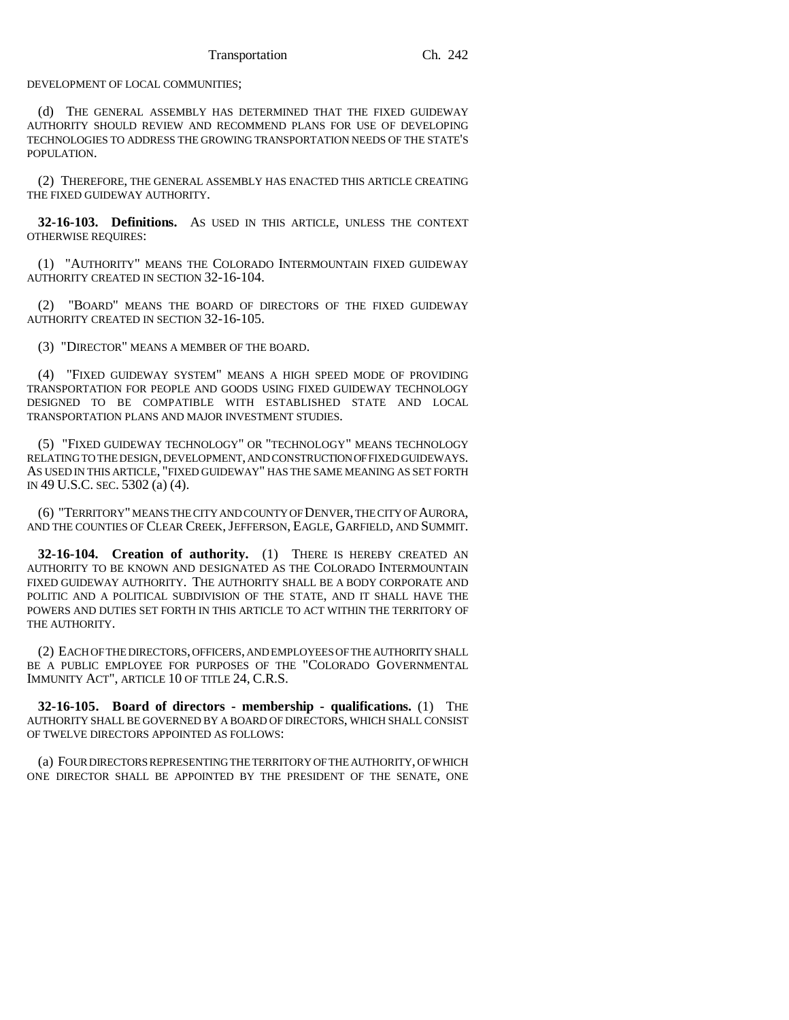DEVELOPMENT OF LOCAL COMMUNITIES;

(d) THE GENERAL ASSEMBLY HAS DETERMINED THAT THE FIXED GUIDEWAY AUTHORITY SHOULD REVIEW AND RECOMMEND PLANS FOR USE OF DEVELOPING TECHNOLOGIES TO ADDRESS THE GROWING TRANSPORTATION NEEDS OF THE STATE'S POPULATION.

(2) THEREFORE, THE GENERAL ASSEMBLY HAS ENACTED THIS ARTICLE CREATING THE FIXED GUIDEWAY AUTHORITY.

**32-16-103. Definitions.** AS USED IN THIS ARTICLE, UNLESS THE CONTEXT OTHERWISE REQUIRES:

(1) "AUTHORITY" MEANS THE COLORADO INTERMOUNTAIN FIXED GUIDEWAY AUTHORITY CREATED IN SECTION 32-16-104.

(2) "BOARD" MEANS THE BOARD OF DIRECTORS OF THE FIXED GUIDEWAY AUTHORITY CREATED IN SECTION 32-16-105.

(3) "DIRECTOR" MEANS A MEMBER OF THE BOARD.

(4) "FIXED GUIDEWAY SYSTEM" MEANS A HIGH SPEED MODE OF PROVIDING TRANSPORTATION FOR PEOPLE AND GOODS USING FIXED GUIDEWAY TECHNOLOGY DESIGNED TO BE COMPATIBLE WITH ESTABLISHED STATE AND LOCAL TRANSPORTATION PLANS AND MAJOR INVESTMENT STUDIES.

(5) "FIXED GUIDEWAY TECHNOLOGY" OR "TECHNOLOGY" MEANS TECHNOLOGY RELATING TO THE DESIGN, DEVELOPMENT, AND CONSTRUCTION OF FIXED GUIDEWAYS. AS USED IN THIS ARTICLE, "FIXED GUIDEWAY" HAS THE SAME MEANING AS SET FORTH IN 49 U.S.C. SEC. 5302 (a) (4).

(6) "TERRITORY" MEANS THE CITY AND COUNTY OF DENVER, THE CITY OF AURORA, AND THE COUNTIES OF CLEAR CREEK,JEFFERSON, EAGLE, GARFIELD, AND SUMMIT.

**32-16-104. Creation of authority.** (1) THERE IS HEREBY CREATED AN AUTHORITY TO BE KNOWN AND DESIGNATED AS THE COLORADO INTERMOUNTAIN FIXED GUIDEWAY AUTHORITY. THE AUTHORITY SHALL BE A BODY CORPORATE AND POLITIC AND A POLITICAL SUBDIVISION OF THE STATE, AND IT SHALL HAVE THE POWERS AND DUTIES SET FORTH IN THIS ARTICLE TO ACT WITHIN THE TERRITORY OF THE AUTHORITY.

(2) EACH OF THE DIRECTORS, OFFICERS, AND EMPLOYEES OF THE AUTHORITY SHALL BE A PUBLIC EMPLOYEE FOR PURPOSES OF THE "COLORADO GOVERNMENTAL IMMUNITY ACT", ARTICLE 10 OF TITLE 24, C.R.S.

**32-16-105. Board of directors - membership - qualifications.** (1) THE AUTHORITY SHALL BE GOVERNED BY A BOARD OF DIRECTORS, WHICH SHALL CONSIST OF TWELVE DIRECTORS APPOINTED AS FOLLOWS:

(a) FOUR DIRECTORS REPRESENTING THE TERRITORY OF THE AUTHORITY, OF WHICH ONE DIRECTOR SHALL BE APPOINTED BY THE PRESIDENT OF THE SENATE, ONE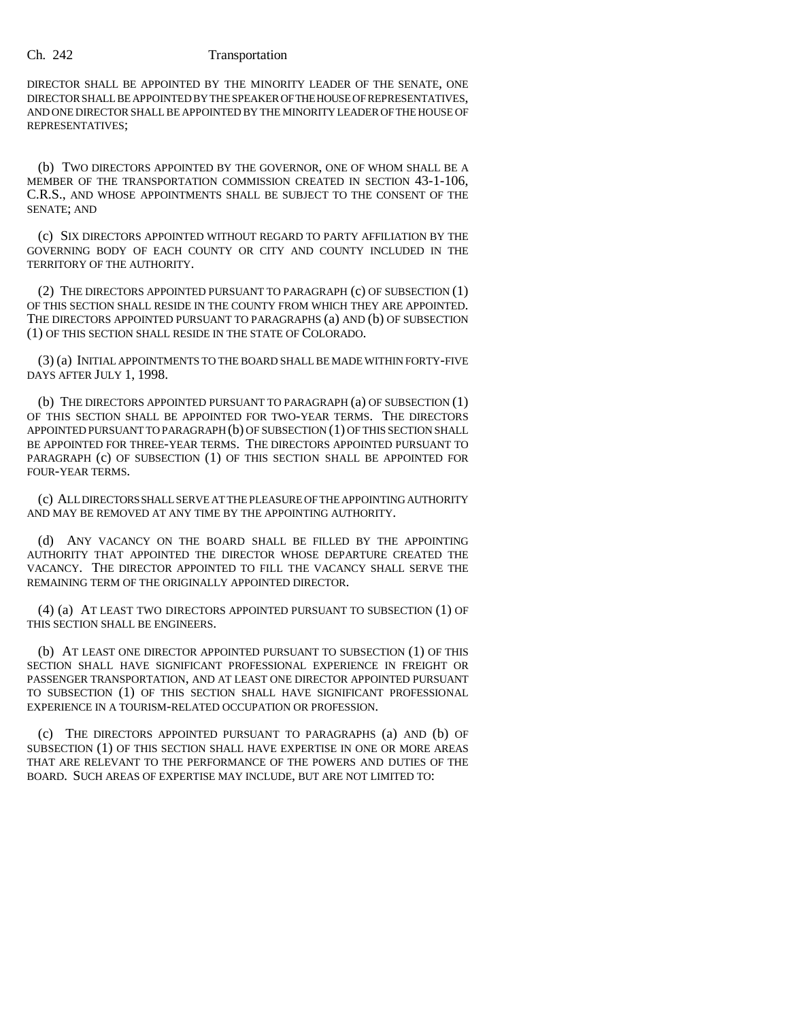### Ch. 242 Transportation

DIRECTOR SHALL BE APPOINTED BY THE MINORITY LEADER OF THE SENATE, ONE DIRECTOR SHALL BE APPOINTED BY THE SPEAKER OF THE HOUSE OF REPRESENTATIVES, AND ONE DIRECTOR SHALL BE APPOINTED BY THE MINORITY LEADER OF THE HOUSE OF REPRESENTATIVES;

(b) TWO DIRECTORS APPOINTED BY THE GOVERNOR, ONE OF WHOM SHALL BE A MEMBER OF THE TRANSPORTATION COMMISSION CREATED IN SECTION 43-1-106, C.R.S., AND WHOSE APPOINTMENTS SHALL BE SUBJECT TO THE CONSENT OF THE SENATE; AND

(c) SIX DIRECTORS APPOINTED WITHOUT REGARD TO PARTY AFFILIATION BY THE GOVERNING BODY OF EACH COUNTY OR CITY AND COUNTY INCLUDED IN THE TERRITORY OF THE AUTHORITY.

(2) THE DIRECTORS APPOINTED PURSUANT TO PARAGRAPH (c) OF SUBSECTION (1) OF THIS SECTION SHALL RESIDE IN THE COUNTY FROM WHICH THEY ARE APPOINTED. THE DIRECTORS APPOINTED PURSUANT TO PARAGRAPHS (a) AND (b) OF SUBSECTION (1) OF THIS SECTION SHALL RESIDE IN THE STATE OF COLORADO.

(3) (a) INITIAL APPOINTMENTS TO THE BOARD SHALL BE MADE WITHIN FORTY-FIVE DAYS AFTER JULY 1, 1998.

(b) THE DIRECTORS APPOINTED PURSUANT TO PARAGRAPH (a) OF SUBSECTION (1) OF THIS SECTION SHALL BE APPOINTED FOR TWO-YEAR TERMS. THE DIRECTORS APPOINTED PURSUANT TO PARAGRAPH (b) OF SUBSECTION (1) OF THIS SECTION SHALL BE APPOINTED FOR THREE-YEAR TERMS. THE DIRECTORS APPOINTED PURSUANT TO PARAGRAPH (c) OF SUBSECTION (1) OF THIS SECTION SHALL BE APPOINTED FOR FOUR-YEAR TERMS.

(c) ALL DIRECTORS SHALL SERVE AT THE PLEASURE OF THE APPOINTING AUTHORITY AND MAY BE REMOVED AT ANY TIME BY THE APPOINTING AUTHORITY.

(d) ANY VACANCY ON THE BOARD SHALL BE FILLED BY THE APPOINTING AUTHORITY THAT APPOINTED THE DIRECTOR WHOSE DEPARTURE CREATED THE VACANCY. THE DIRECTOR APPOINTED TO FILL THE VACANCY SHALL SERVE THE REMAINING TERM OF THE ORIGINALLY APPOINTED DIRECTOR.

(4) (a) AT LEAST TWO DIRECTORS APPOINTED PURSUANT TO SUBSECTION (1) OF THIS SECTION SHALL BE ENGINEERS.

(b) AT LEAST ONE DIRECTOR APPOINTED PURSUANT TO SUBSECTION (1) OF THIS SECTION SHALL HAVE SIGNIFICANT PROFESSIONAL EXPERIENCE IN FREIGHT OR PASSENGER TRANSPORTATION, AND AT LEAST ONE DIRECTOR APPOINTED PURSUANT TO SUBSECTION (1) OF THIS SECTION SHALL HAVE SIGNIFICANT PROFESSIONAL EXPERIENCE IN A TOURISM-RELATED OCCUPATION OR PROFESSION.

(c) THE DIRECTORS APPOINTED PURSUANT TO PARAGRAPHS (a) AND (b) OF SUBSECTION (1) OF THIS SECTION SHALL HAVE EXPERTISE IN ONE OR MORE AREAS THAT ARE RELEVANT TO THE PERFORMANCE OF THE POWERS AND DUTIES OF THE BOARD. SUCH AREAS OF EXPERTISE MAY INCLUDE, BUT ARE NOT LIMITED TO: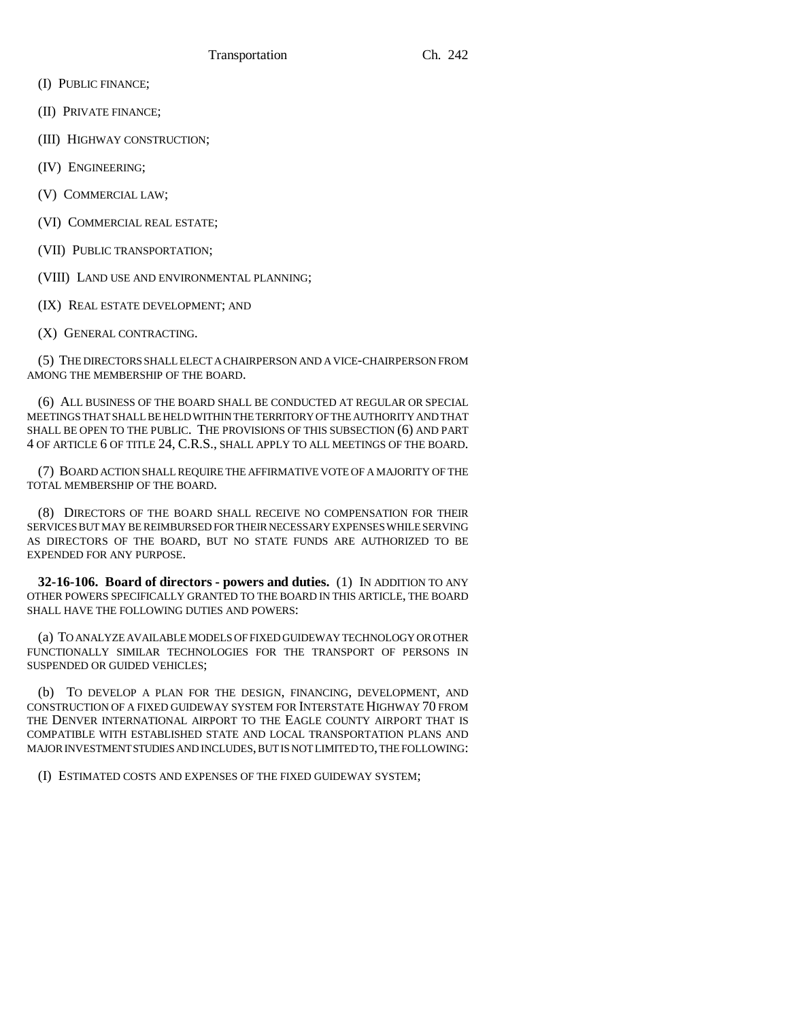- (I) PUBLIC FINANCE;
- (II) PRIVATE FINANCE;
- (III) HIGHWAY CONSTRUCTION;
- (IV) ENGINEERING;
- (V) COMMERCIAL LAW;
- (VI) COMMERCIAL REAL ESTATE;
- (VII) PUBLIC TRANSPORTATION;
- (VIII) LAND USE AND ENVIRONMENTAL PLANNING;
- (IX) REAL ESTATE DEVELOPMENT; AND
- (X) GENERAL CONTRACTING.

(5) THE DIRECTORS SHALL ELECT A CHAIRPERSON AND A VICE-CHAIRPERSON FROM AMONG THE MEMBERSHIP OF THE BOARD.

(6) ALL BUSINESS OF THE BOARD SHALL BE CONDUCTED AT REGULAR OR SPECIAL MEETINGS THAT SHALL BE HELD WITHIN THE TERRITORY OF THE AUTHORITY AND THAT SHALL BE OPEN TO THE PUBLIC. THE PROVISIONS OF THIS SUBSECTION (6) AND PART 4 OF ARTICLE 6 OF TITLE 24, C.R.S., SHALL APPLY TO ALL MEETINGS OF THE BOARD.

(7) BOARD ACTION SHALL REQUIRE THE AFFIRMATIVE VOTE OF A MAJORITY OF THE TOTAL MEMBERSHIP OF THE BOARD.

(8) DIRECTORS OF THE BOARD SHALL RECEIVE NO COMPENSATION FOR THEIR SERVICES BUT MAY BE REIMBURSED FOR THEIR NECESSARY EXPENSES WHILE SERVING AS DIRECTORS OF THE BOARD, BUT NO STATE FUNDS ARE AUTHORIZED TO BE EXPENDED FOR ANY PURPOSE.

**32-16-106. Board of directors - powers and duties.** (1) IN ADDITION TO ANY OTHER POWERS SPECIFICALLY GRANTED TO THE BOARD IN THIS ARTICLE, THE BOARD SHALL HAVE THE FOLLOWING DUTIES AND POWERS:

(a) TO ANALYZE AVAILABLE MODELS OF FIXED GUIDEWAY TECHNOLOGY OR OTHER FUNCTIONALLY SIMILAR TECHNOLOGIES FOR THE TRANSPORT OF PERSONS IN SUSPENDED OR GUIDED VEHICLES;

(b) TO DEVELOP A PLAN FOR THE DESIGN, FINANCING, DEVELOPMENT, AND CONSTRUCTION OF A FIXED GUIDEWAY SYSTEM FOR INTERSTATE HIGHWAY 70 FROM THE DENVER INTERNATIONAL AIRPORT TO THE EAGLE COUNTY AIRPORT THAT IS COMPATIBLE WITH ESTABLISHED STATE AND LOCAL TRANSPORTATION PLANS AND MAJOR INVESTMENT STUDIES AND INCLUDES, BUT IS NOT LIMITED TO, THE FOLLOWING:

(I) ESTIMATED COSTS AND EXPENSES OF THE FIXED GUIDEWAY SYSTEM;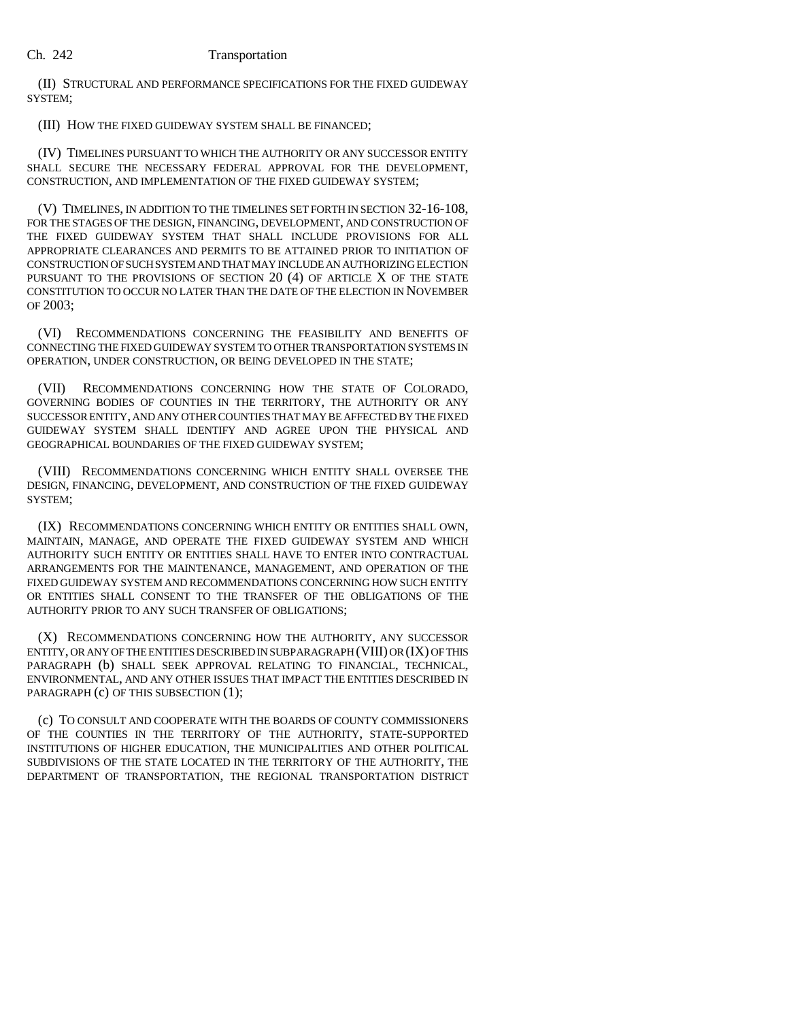(II) STRUCTURAL AND PERFORMANCE SPECIFICATIONS FOR THE FIXED GUIDEWAY SYSTEM;

(III) HOW THE FIXED GUIDEWAY SYSTEM SHALL BE FINANCED;

(IV) TIMELINES PURSUANT TO WHICH THE AUTHORITY OR ANY SUCCESSOR ENTITY SHALL SECURE THE NECESSARY FEDERAL APPROVAL FOR THE DEVELOPMENT, CONSTRUCTION, AND IMPLEMENTATION OF THE FIXED GUIDEWAY SYSTEM;

(V) TIMELINES, IN ADDITION TO THE TIMELINES SET FORTH IN SECTION 32-16-108, FOR THE STAGES OF THE DESIGN, FINANCING, DEVELOPMENT, AND CONSTRUCTION OF THE FIXED GUIDEWAY SYSTEM THAT SHALL INCLUDE PROVISIONS FOR ALL APPROPRIATE CLEARANCES AND PERMITS TO BE ATTAINED PRIOR TO INITIATION OF CONSTRUCTION OF SUCH SYSTEM AND THAT MAY INCLUDE AN AUTHORIZING ELECTION PURSUANT TO THE PROVISIONS OF SECTION 20 (4) OF ARTICLE X OF THE STATE CONSTITUTION TO OCCUR NO LATER THAN THE DATE OF THE ELECTION IN NOVEMBER OF 2003;

(VI) RECOMMENDATIONS CONCERNING THE FEASIBILITY AND BENEFITS OF CONNECTING THE FIXED GUIDEWAY SYSTEM TO OTHER TRANSPORTATION SYSTEMS IN OPERATION, UNDER CONSTRUCTION, OR BEING DEVELOPED IN THE STATE;

(VII) RECOMMENDATIONS CONCERNING HOW THE STATE OF COLORADO, GOVERNING BODIES OF COUNTIES IN THE TERRITORY, THE AUTHORITY OR ANY SUCCESSOR ENTITY, AND ANY OTHER COUNTIES THAT MAY BE AFFECTED BY THE FIXED GUIDEWAY SYSTEM SHALL IDENTIFY AND AGREE UPON THE PHYSICAL AND GEOGRAPHICAL BOUNDARIES OF THE FIXED GUIDEWAY SYSTEM;

(VIII) RECOMMENDATIONS CONCERNING WHICH ENTITY SHALL OVERSEE THE DESIGN, FINANCING, DEVELOPMENT, AND CONSTRUCTION OF THE FIXED GUIDEWAY SYSTEM;

(IX) RECOMMENDATIONS CONCERNING WHICH ENTITY OR ENTITIES SHALL OWN, MAINTAIN, MANAGE, AND OPERATE THE FIXED GUIDEWAY SYSTEM AND WHICH AUTHORITY SUCH ENTITY OR ENTITIES SHALL HAVE TO ENTER INTO CONTRACTUAL ARRANGEMENTS FOR THE MAINTENANCE, MANAGEMENT, AND OPERATION OF THE FIXED GUIDEWAY SYSTEM AND RECOMMENDATIONS CONCERNING HOW SUCH ENTITY OR ENTITIES SHALL CONSENT TO THE TRANSFER OF THE OBLIGATIONS OF THE AUTHORITY PRIOR TO ANY SUCH TRANSFER OF OBLIGATIONS;

(X) RECOMMENDATIONS CONCERNING HOW THE AUTHORITY, ANY SUCCESSOR ENTITY, OR ANY OF THE ENTITIES DESCRIBED IN SUBPARAGRAPH (VIII) OR (IX) OF THIS ENVIRONMENTAL, AND ANY OTHER ISSUES THAT IMPACT THE ENTITIES DESCRIBED IN PARAGRAPH (c) OF THIS SUBSECTION (1);

(c) TO CONSULT AND COOPERATE WITH THE BOARDS OF COUNTY COMMISSIONERS OF THE COUNTIES IN THE TERRITORY OF THE AUTHORITY, STATE-SUPPORTED INSTITUTIONS OF HIGHER EDUCATION, THE MUNICIPALITIES AND OTHER POLITICAL SUBDIVISIONS OF THE STATE LOCATED IN THE TERRITORY OF THE AUTHORITY, THE DEPARTMENT OF TRANSPORTATION, THE REGIONAL TRANSPORTATION DISTRICT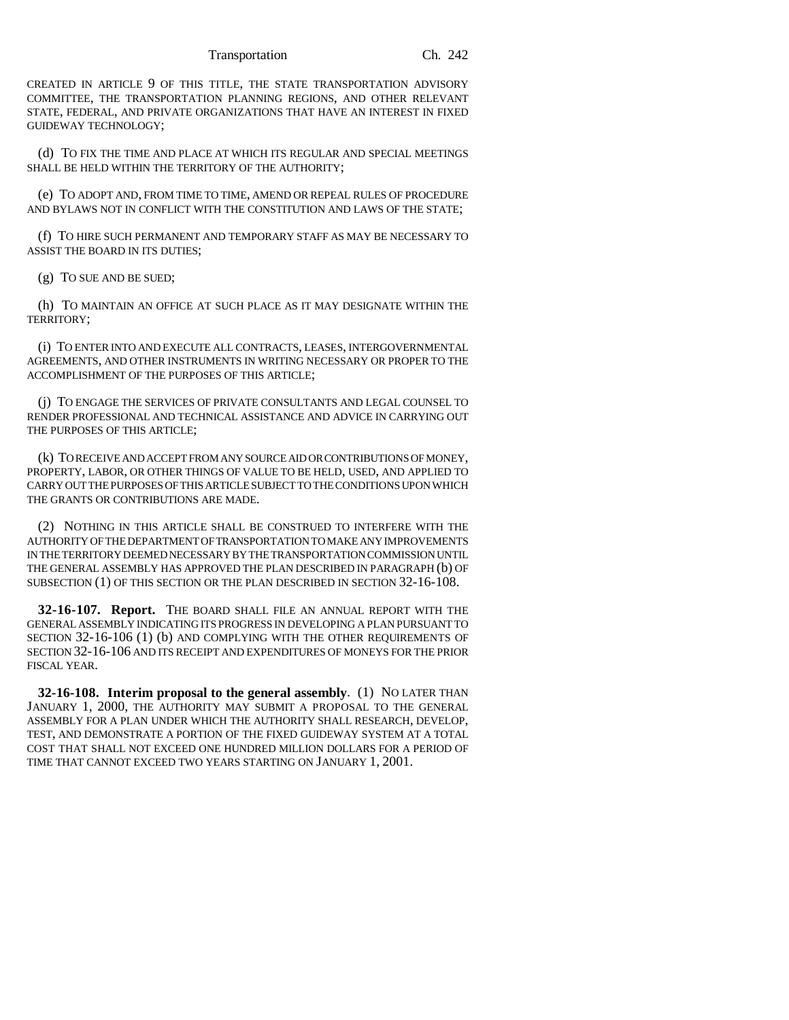CREATED IN ARTICLE 9 OF THIS TITLE, THE STATE TRANSPORTATION ADVISORY COMMITTEE, THE TRANSPORTATION PLANNING REGIONS, AND OTHER RELEVANT STATE, FEDERAL, AND PRIVATE ORGANIZATIONS THAT HAVE AN INTEREST IN FIXED GUIDEWAY TECHNOLOGY;

(d) TO FIX THE TIME AND PLACE AT WHICH ITS REGULAR AND SPECIAL MEETINGS SHALL BE HELD WITHIN THE TERRITORY OF THE AUTHORITY;

(e) TO ADOPT AND, FROM TIME TO TIME, AMEND OR REPEAL RULES OF PROCEDURE AND BYLAWS NOT IN CONFLICT WITH THE CONSTITUTION AND LAWS OF THE STATE;

(f) TO HIRE SUCH PERMANENT AND TEMPORARY STAFF AS MAY BE NECESSARY TO ASSIST THE BOARD IN ITS DUTIES;

(g) TO SUE AND BE SUED;

(h) TO MAINTAIN AN OFFICE AT SUCH PLACE AS IT MAY DESIGNATE WITHIN THE TERRITORY;

(i) TO ENTER INTO AND EXECUTE ALL CONTRACTS, LEASES, INTERGOVERNMENTAL AGREEMENTS, AND OTHER INSTRUMENTS IN WRITING NECESSARY OR PROPER TO THE ACCOMPLISHMENT OF THE PURPOSES OF THIS ARTICLE;

(j) TO ENGAGE THE SERVICES OF PRIVATE CONSULTANTS AND LEGAL COUNSEL TO RENDER PROFESSIONAL AND TECHNICAL ASSISTANCE AND ADVICE IN CARRYING OUT THE PURPOSES OF THIS ARTICLE;

(k) TO RECEIVE AND ACCEPT FROM ANY SOURCE AID OR CONTRIBUTIONS OF MONEY, PROPERTY, LABOR, OR OTHER THINGS OF VALUE TO BE HELD, USED, AND APPLIED TO CARRY OUT THE PURPOSES OF THIS ARTICLE SUBJECT TO THE CONDITIONS UPON WHICH THE GRANTS OR CONTRIBUTIONS ARE MADE.

(2) NOTHING IN THIS ARTICLE SHALL BE CONSTRUED TO INTERFERE WITH THE AUTHORITY OF THE DEPARTMENT OF TRANSPORTATION TO MAKE ANY IMPROVEMENTS IN THE TERRITORY DEEMED NECESSARY BY THE TRANSPORTATION COMMISSION UNTIL THE GENERAL ASSEMBLY HAS APPROVED THE PLAN DESCRIBED IN PARAGRAPH (b) OF SUBSECTION (1) OF THIS SECTION OR THE PLAN DESCRIBED IN SECTION 32-16-108.

**32-16-107. Report.** THE BOARD SHALL FILE AN ANNUAL REPORT WITH THE GENERAL ASSEMBLY INDICATING ITS PROGRESS IN DEVELOPING A PLAN PURSUANT TO SECTION 32-16-106 (1) (b) AND COMPLYING WITH THE OTHER REQUIREMENTS OF SECTION 32-16-106 AND ITS RECEIPT AND EXPENDITURES OF MONEYS FOR THE PRIOR FISCAL YEAR.

**32-16-108. Interim proposal to the general assembly**. (1) NO LATER THAN JANUARY 1, 2000, THE AUTHORITY MAY SUBMIT A PROPOSAL TO THE GENERAL ASSEMBLY FOR A PLAN UNDER WHICH THE AUTHORITY SHALL RESEARCH, DEVELOP, TEST, AND DEMONSTRATE A PORTION OF THE FIXED GUIDEWAY SYSTEM AT A TOTAL COST THAT SHALL NOT EXCEED ONE HUNDRED MILLION DOLLARS FOR A PERIOD OF TIME THAT CANNOT EXCEED TWO YEARS STARTING ON JANUARY 1, 2001.